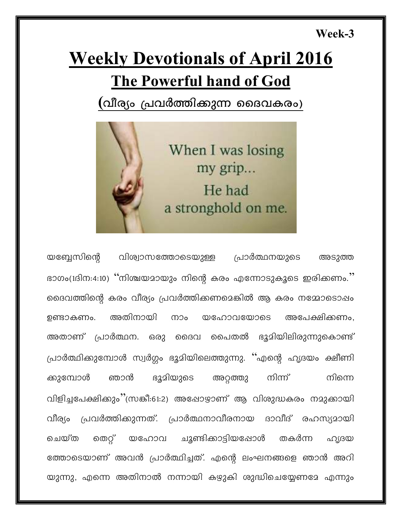#### **Week-3**

# **Weekly Devotionals of April 2016**

## **The Powerful hand of God**

 $(a$ ീര്യം പ്രവർത്തിക്കുന്ന ദൈവകരം)



യബ്ബേസിന്റെ വിശ്വാസത്തോടെയുള്ള പ്രാർത്ഥനയുടെ അടുത്ത ഭാഗം(1ദിന:4:10) ''നിശ്ചയമായും നിന്റെ കരം എന്നോടുകൂടെ ഇരിക്കണം.'' ദൈവത്തിന്റെ കരം വീര്യം പ്രവർത്തിക്കണമെങ്കിൽ ആ കരം നമ്മോടൊഷം ഉണ്ടാകണം. അതിനായി നാം യഹോവയോടെ അപേക്ഷിക്കണം, `അതാണ് <sub>(</sub>പാർത്ഥന. ഒരു ദൈവ പൈതൽ ഭൂമിയിലിരുന്നുകൊണ്ട് പ്രാർത്ഥിക്കുമ്പോൾ സ്വർഗ്ഗം ഭൂമിയിലെത്തുന്നു. ''എന്റെ ഹൃദയം ക്ഷീണി കുമ്പോൾ ഞാൻ ഭൂമിയുടെ അറ്റത്തു നിന്ന് നിന്നെ വിളിച്ചപേക്ഷിക്കും''(സങ്കീ:61:2) അഷോഴാണ് ആ വിശുദ്ധകരം നമുക്കായി വീര്യം പ്രവർത്തിക്കുന്നത്. പ്രാർത്ഥനാവീരനായ ദാവീദ് രഹസ്യമായി ചെയ്ത തെറ്റ് യഹോവ ചൂണ്ടിക്കാട്ടിയപ്പോൾ തകർന്ന ഹൃദയ ത്തോടെയാണ് അവൻ പ്രാർത്ഥിച്ചത്. എന്റെ ലംഘനങ്ങളെ ഞാൻ അറി യുന്നു, എന്നെ അതിനാൽ നന്നായി കഴുകി ശുദ്ധിചെയ്യേണമേ എന്നും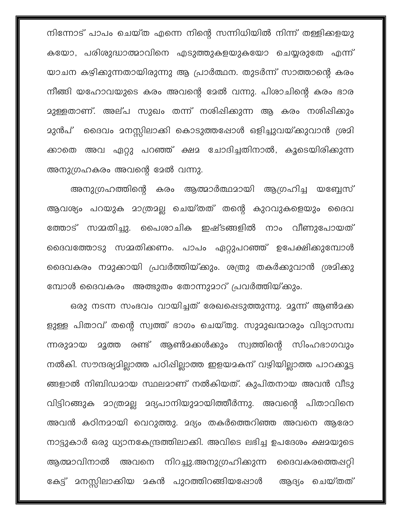നിന്നോട് പാപം ചെയ്ത എന്നെ നിന്റെ സന്നിധിയിൽ നിന്ന് തള്ളിക്കളയു കയോ, പരിശുദ്ധാത്മാവിനെ എടുത്തുകളയുകയോ ചെയ്യരുതേ എന്ന് യാചന കഴിക്കുന്നതായിരുന്നു ആ പ്രാർത്ഥന. തുടർന്ന് സാത്താന്റെ കരം നീങ്ങി യഹോവയുടെ കരം അവന്റെ മേൽ വന്നു. പിശാചിന്റെ കരം ഭാര മുൻപ് ദൈവം മനസ്സിലാക്കി കൊടുത്തഷോൾ ഒളിച്ചുവയ്ക്കുവാൻ ശ്രമി ക്കാതെ അവ ഏറ്റു പറഞ്ഞ് ക്ഷമ ചോദിച്ചതിനാൽ, കൂടെയിരിക്കുന്ന അനുഗ്രഹകരം അവന്റെ മേൽ വന്നു.

അനുഗ്രഹത്തിന്റെ കരം ആത്മാർത്ഥമായി ആഗ്രഹിച്ച യബ്ബേസ് ആവശ്യം പറയുക മാത്രമല്ല ചെയ്തത് തന്റെ കുറവുകളെയും ദൈവ ത്തോട് സമ്മതിച്ചു. പൈശാചിക ഇഷ്ടങ്ങളിൽ നാം വീണുപോയത് ദൈവത്തോടു സമ്മതിക്കണം. പാപം ഏറ്റുപറഞ്ഞ് ഉപേക്ഷിക്കുമ്പോൾ ദൈവകരം നമുക്കായി പ്രവർത്തിയ്ക്കും. ശത്രു തകർക്കുവാൻ ശ്രമിക്കു മ്പോൾ ദൈവകരം അത്ഭുതം തോന്നുമാറ് പ്രവർത്തിയ്ക്കും.

ഒരു നടന്ന സംഭവം വായിച്ചത് രേഖപ്പെടുത്തുന്നു. മൂന്ന് ആൺമക്ക ളുള്ള പിതാവ് തന്റെ സ്വത്ത് ഭാഗം ചെയ്തു. സുമുഖന്മാരും വിദ്യാസമ്പ ന്നരുമായ മൂത്ത രണ്ട് ആൺമക്കൾക്കും സ്വത്തിന്റെ സിംഹഭാഗവും നൽകി. സൗന്ദര്യമില്ലാത്ത പഠിഷില്ലാത്ത ഇളയമകന് വഴിയില്ലാത്ത പാറക്കൂട്ട ങ്ങളാൽ നിബിഡമായ സ്ഥലമാണ് നൽകിയത്. കുപിതനായ അവൻ വീടു വിട്ടിറങ്ങുക മാത്രമല്ല മദ്യപാനിയുമായിത്തീർന്നു. അവന്റെ പിതാവിനെ അവൻ കഠിനമായി വെറുത്തു. മദ്യം തകർത്തെറിഞ്ഞ അവനെ ആരോ നാട്ടുകാർ ഒരു ധ്യാനകേന്ദ്രത്തിലാക്കി. അവിടെ ലഭിച്ച ഉപദേശം ക്ഷമയുടെ ആത്മാവിനാൽ അവനെ നിറച്ചു.അനുഗ്രഹിക്കുന്ന ദൈവകരത്തെഷറ്റി കേട്ട് മനസ്സിലാക്കിയ മകൻ പുറത്തിറങ്ങിയപ്പോൾ ആദ്യം ചെയ്തത്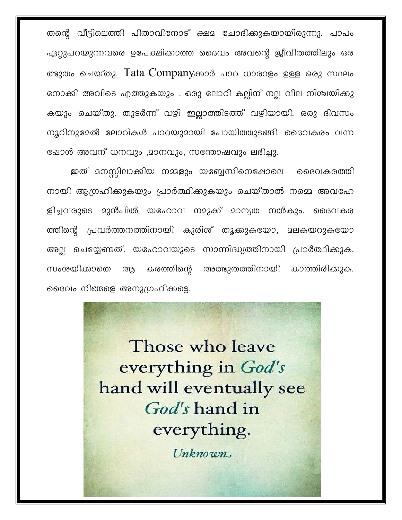തന്റെ വീട്ടിലെത്തി പിതാവിനോട് ക്ഷമ ചോദിക്കുകയായിരുന്നു. പാപം ഏറ്റുപറയുന്നവരെ ഉപേക്ഷിക്കാത്ത ദൈവം അവന്റെ ജീവിതത്തിലും ഒര ത്ഭുതം ചെയ്തു. Tata Companyക്കാർ പാറ ധാരാളം ഉള്ള ഒരു സ്ഥലം നോക്കി അവിടെ എത്തുകയും , ഒരു ലോറി കല്ലിന് നല്ല വില നിശ്ചയിക്കു കയും ചെയ്തു. തുടർന്ന് വഴി ഇല്ലാത്തിടത്ത് വഴിയായി. ഒരു ദിവസം നൂറിനുമേൽ ലോറികൾ പാറയുമായി പോയിത്തുടങ്ങി. ദൈവകരം വന്ന ഷോൾ അവന് ധനവും ,മാനവും, സന്തോഷവും ലഭിച്ചു.

ഇത് മനസ്സിലാക്കിയ നമ്മളും യബ്ബേസിനെഷോലെ ദൈവകരത്തി നായി ആഗ്രഹിക്കുകയും പ്രാർത്ഥിക്കുകയും ചെയ്താൽ നമ്മെ അവഹേ ളിച്ചവരുടെ മുൻപിൽ യഹോവ നമുക്ക് മാന്യത നൽകും. ദൈവകര ത്തിന്റെ പ്രവർത്തനത്തിനായി കുരിശ് തൃക്കുകയോ, മലകയറുകയോ അല്ല ചെയ്യേണ്ടത്. യഹോവയുടെ സാന്നിദ്ധ്യത്തിനായി പ്രാർത്ഥിക്കുക. അത്ഭുതത്തിനായി കാത്തിരിക്കുക. കരത്തിന്റെ സംശയിക്കാതെ ആ ദൈവം നിങ്ങളെ അനുഗ്രഹിക്കട്ടെ.

> Those who leave everything in God's hand will eventually see God's hand in everything.

> > Unknown.